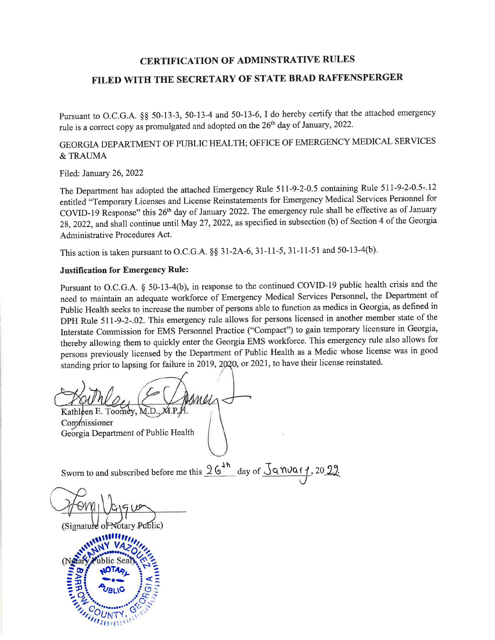## **CERTIFICATION OF ADMINSTRATIVE RULES**

# FILED WITH THE SECRETARY OF STATE BRAD RAFFENSPERGER

Pursuant to O.C.G.A. §§ 50-13-3, 50-13-4 and 50-13-6, I do hereby certify that the attached emergency rule is a correct copy as promulgated and adopted on the 26<sup>th</sup> day of January, 2022.

## GEORGIA DEPARTMENT OF PUBLIC HEALTH; OFFICE OF EMERGENCY MEDICAL SERVICES & TRAUMA

Filed: January 26, 2022

The Department has adopted the attached Emergency Rule 511-9-2-0.5 containing Rule 511-9-2-0.5-.12 entitled "Temporary Licenses and License Reinstatements for Emergency Medical Services Personnel for COVID-19 Response" this 26<sup>th</sup> day of January 2022. The emergency rule shall be effective as of January 28, 2022, and shall continue until May 27, 2022, as specified in subsection (b) of Section 4 of the Georgia Administrative Procedures Act.

This action is taken pursuant to O.C.G.A. §§ 31-2A-6, 31-11-5, 31-11-51 and 50-13-4(b).

#### **Justification for Emergency Rule:**

Pursuant to O.C.G.A. § 50-13-4(b), in response to the continued COVID-19 public health crisis and the need to maintain an adequate workforce of Emergency Medical Services Personnel, the Department of Public Health seeks to increase the number of persons able to function as medics in Georgia, as defined in DPH Rule 511-9-2-.02. This emergency rule allows for persons licensed in another member state of the Interstate Commission for EMS Personnel Practice ("Compact") to gain temporary licensure in Georgia, thereby allowing them to quickly enter the Georgia EMS workforce. This emergency rule also allows for persons previously licensed by the Department of Public Health as a Medic whose license was in good standing prior to lapsing for failure in 2019, 2020, or 2021, to have their license reinstated.

mein Kathleen E. Toomey, M.D.

Commissioner Georgia Department of Public Health

Sworn to and subscribed before me this  $\frac{26^{1h}}{h}$  day of  $\frac{\sqrt{9}}{4}$   $\frac{\sqrt{9}}{4}$  20 22.

(Signature of Notary Public)

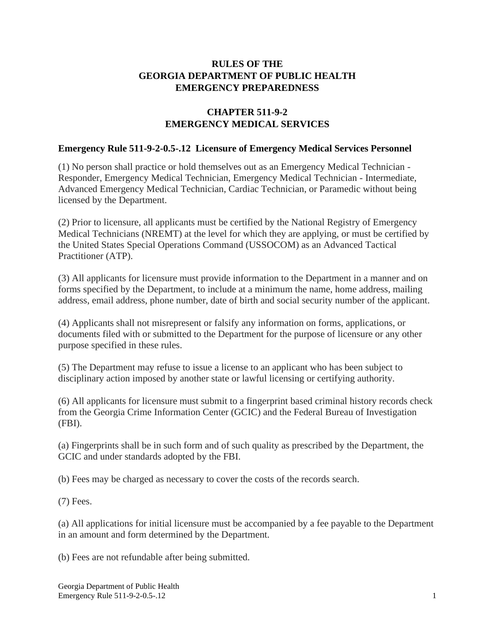## **RULES OF THE GEORGIA DEPARTMENT OF PUBLIC HEALTH EMERGENCY PREPAREDNESS**

## **CHAPTER 511-9-2 EMERGENCY MEDICAL SERVICES**

### **Emergency Rule 511-9-2-0.5-.12 Licensure of Emergency Medical Services Personnel**

(1) No person shall practice or hold themselves out as an Emergency Medical Technician - Responder, Emergency Medical Technician, Emergency Medical Technician - Intermediate, Advanced Emergency Medical Technician, Cardiac Technician, or Paramedic without being licensed by the Department.

(2) Prior to licensure, all applicants must be certified by the National Registry of Emergency Medical Technicians (NREMT) at the level for which they are applying, or must be certified by the United States Special Operations Command (USSOCOM) as an Advanced Tactical Practitioner (ATP).

(3) All applicants for licensure must provide information to the Department in a manner and on forms specified by the Department, to include at a minimum the name, home address, mailing address, email address, phone number, date of birth and social security number of the applicant.

(4) Applicants shall not misrepresent or falsify any information on forms, applications, or documents filed with or submitted to the Department for the purpose of licensure or any other purpose specified in these rules.

(5) The Department may refuse to issue a license to an applicant who has been subject to disciplinary action imposed by another state or lawful licensing or certifying authority.

(6) All applicants for licensure must submit to a fingerprint based criminal history records check from the Georgia Crime Information Center (GCIC) and the Federal Bureau of Investigation (FBI).

(a) Fingerprints shall be in such form and of such quality as prescribed by the Department, the GCIC and under standards adopted by the FBI.

(b) Fees may be charged as necessary to cover the costs of the records search.

(7) Fees.

(a) All applications for initial licensure must be accompanied by a fee payable to the Department in an amount and form determined by the Department.

(b) Fees are not refundable after being submitted.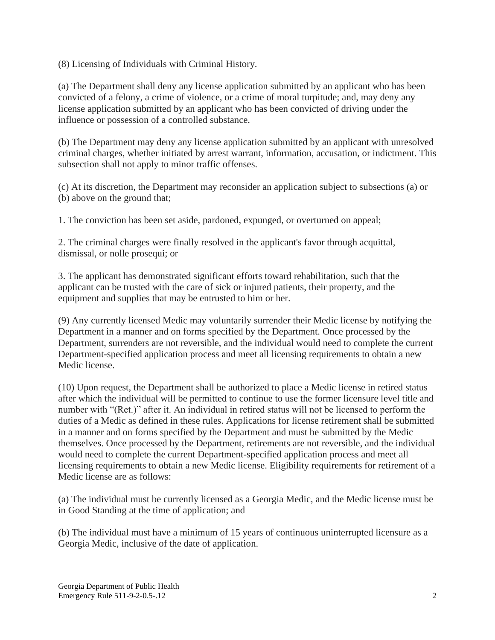(8) Licensing of Individuals with Criminal History.

(a) The Department shall deny any license application submitted by an applicant who has been convicted of a felony, a crime of violence, or a crime of moral turpitude; and, may deny any license application submitted by an applicant who has been convicted of driving under the influence or possession of a controlled substance.

(b) The Department may deny any license application submitted by an applicant with unresolved criminal charges, whether initiated by arrest warrant, information, accusation, or indictment. This subsection shall not apply to minor traffic offenses.

(c) At its discretion, the Department may reconsider an application subject to subsections (a) or (b) above on the ground that;

1. The conviction has been set aside, pardoned, expunged, or overturned on appeal;

2. The criminal charges were finally resolved in the applicant's favor through acquittal, dismissal, or nolle prosequi; or

3. The applicant has demonstrated significant efforts toward rehabilitation, such that the applicant can be trusted with the care of sick or injured patients, their property, and the equipment and supplies that may be entrusted to him or her.

(9) Any currently licensed Medic may voluntarily surrender their Medic license by notifying the Department in a manner and on forms specified by the Department. Once processed by the Department, surrenders are not reversible, and the individual would need to complete the current Department-specified application process and meet all licensing requirements to obtain a new Medic license.

(10) Upon request, the Department shall be authorized to place a Medic license in retired status after which the individual will be permitted to continue to use the former licensure level title and number with "(Ret.)" after it. An individual in retired status will not be licensed to perform the duties of a Medic as defined in these rules. Applications for license retirement shall be submitted in a manner and on forms specified by the Department and must be submitted by the Medic themselves. Once processed by the Department, retirements are not reversible, and the individual would need to complete the current Department-specified application process and meet all licensing requirements to obtain a new Medic license. Eligibility requirements for retirement of a Medic license are as follows:

(a) The individual must be currently licensed as a Georgia Medic, and the Medic license must be in Good Standing at the time of application; and

(b) The individual must have a minimum of 15 years of continuous uninterrupted licensure as a Georgia Medic, inclusive of the date of application.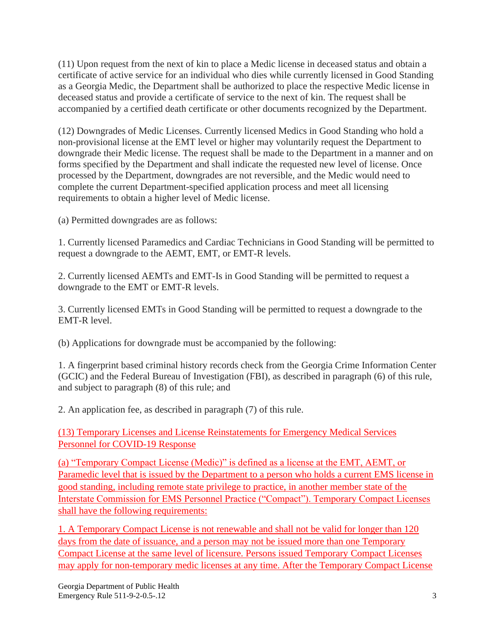(11) Upon request from the next of kin to place a Medic license in deceased status and obtain a certificate of active service for an individual who dies while currently licensed in Good Standing as a Georgia Medic, the Department shall be authorized to place the respective Medic license in deceased status and provide a certificate of service to the next of kin. The request shall be accompanied by a certified death certificate or other documents recognized by the Department.

(12) Downgrades of Medic Licenses. Currently licensed Medics in Good Standing who hold a non-provisional license at the EMT level or higher may voluntarily request the Department to downgrade their Medic license. The request shall be made to the Department in a manner and on forms specified by the Department and shall indicate the requested new level of license. Once processed by the Department, downgrades are not reversible, and the Medic would need to complete the current Department-specified application process and meet all licensing requirements to obtain a higher level of Medic license.

(a) Permitted downgrades are as follows:

1. Currently licensed Paramedics and Cardiac Technicians in Good Standing will be permitted to request a downgrade to the AEMT, EMT, or EMT-R levels.

2. Currently licensed AEMTs and EMT-Is in Good Standing will be permitted to request a downgrade to the EMT or EMT-R levels.

3. Currently licensed EMTs in Good Standing will be permitted to request a downgrade to the EMT-R level.

(b) Applications for downgrade must be accompanied by the following:

1. A fingerprint based criminal history records check from the Georgia Crime Information Center (GCIC) and the Federal Bureau of Investigation (FBI), as described in paragraph (6) of this rule, and subject to paragraph (8) of this rule; and

2. An application fee, as described in paragraph (7) of this rule.

(13) Temporary Licenses and License Reinstatements for Emergency Medical Services Personnel for COVID-19 Response

(a) "Temporary Compact License (Medic)" is defined as a license at the EMT, AEMT, or Paramedic level that is issued by the Department to a person who holds a current EMS license in good standing, including remote state privilege to practice, in another member state of the Interstate Commission for EMS Personnel Practice ("Compact"). Temporary Compact Licenses shall have the following requirements:

1. A Temporary Compact License is not renewable and shall not be valid for longer than 120 days from the date of issuance, and a person may not be issued more than one Temporary Compact License at the same level of licensure. Persons issued Temporary Compact Licenses may apply for non-temporary medic licenses at any time. After the Temporary Compact License